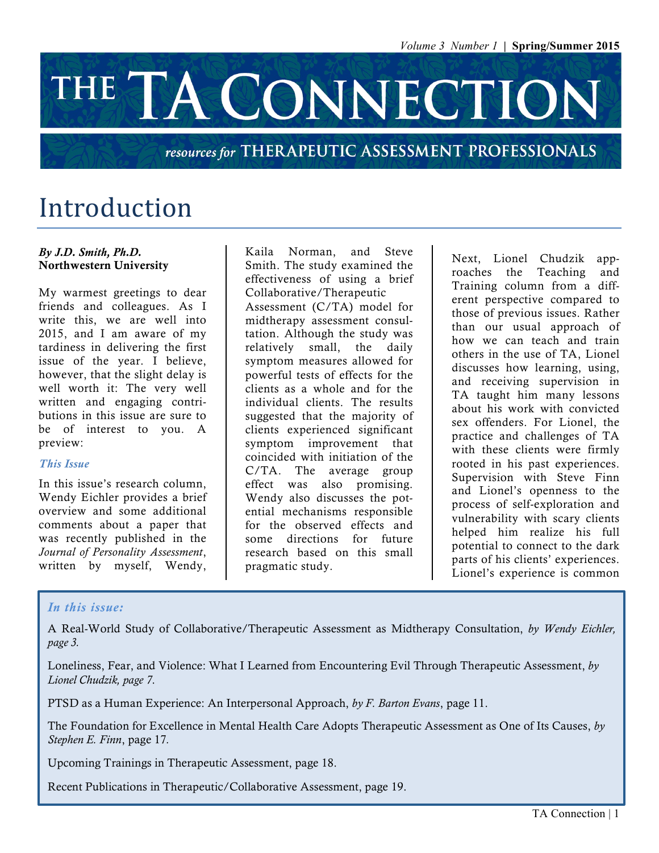# THE TA CONNECTION

#### resources for THERAPEUTIC ASSESSMENT PROFESSIONALS

### Introduction

#### *By J.D. Smith, Ph.D.* Northwestern University

My warmest greetings to dear friends and colleagues. As I write this, we are well into 2015, and I am aware of my tardiness in delivering the first issue of the year. I believe, however, that the slight delay is well worth it: The very well written and engaging contributions in this issue are sure to be of interest to you. A preview:

#### *This Issue*

In this issue's research column, Wendy Eichler provides a brief overview and some additional comments about a paper that was recently published in the *Journal of Personality Assessment*, written by myself, Wendy,

Kaila Norman, and Steve Smith. The study examined the effectiveness of using a brief Collaborative/Therapeutic Assessment (C/TA) model for midtherapy assessment consultation. Although the study was relatively small, the daily symptom measures allowed for powerful tests of effects for the clients as a whole and for the individual clients. The results suggested that the majority of clients experienced significant symptom improvement that coincided with initiation of the C/TA. The average group effect was also promising. Wendy also discusses the potential mechanisms responsible for the observed effects and some directions for future research based on this small pragmatic study.

Next, Lionel Chudzik approaches the Teaching and Training column from a different perspective compared to those of previous issues. Rather than our usual approach of how we can teach and train others in the use of TA, Lionel discusses how learning, using, and receiving supervision in TA taught him many lessons about his work with convicted sex offenders. For Lionel, the practice and challenges of TA with these clients were firmly rooted in his past experiences. Supervision with Steve Finn and Lionel's openness to the process of self-exploration and vulnerability with scary clients helped him realize his full potential to connect to the dark parts of his clients' experiences. Lionel's experience is common

#### *In this issue:*

A Real-World Study of Collaborative/Therapeutic Assessment as Midtherapy Consultation, *by Wendy Eichler, page 3.*

Loneliness, Fear, and Violence: What I Learned from Encountering Evil Through Therapeutic Assessment, *by Lionel Chudzik, page 7*.

PTSD as a Human Experience: An Interpersonal Approach, *by F. Barton Evans*, page 11.

The Foundation for Excellence in Mental Health Care Adopts Therapeutic Assessment as One of Its Causes, *by Stephen E. Finn*, page 17*.*

Upcoming Trainings in Therapeutic Assessment, page 18.

Recent Publications in Therapeutic/Collaborative Assessment, page 19.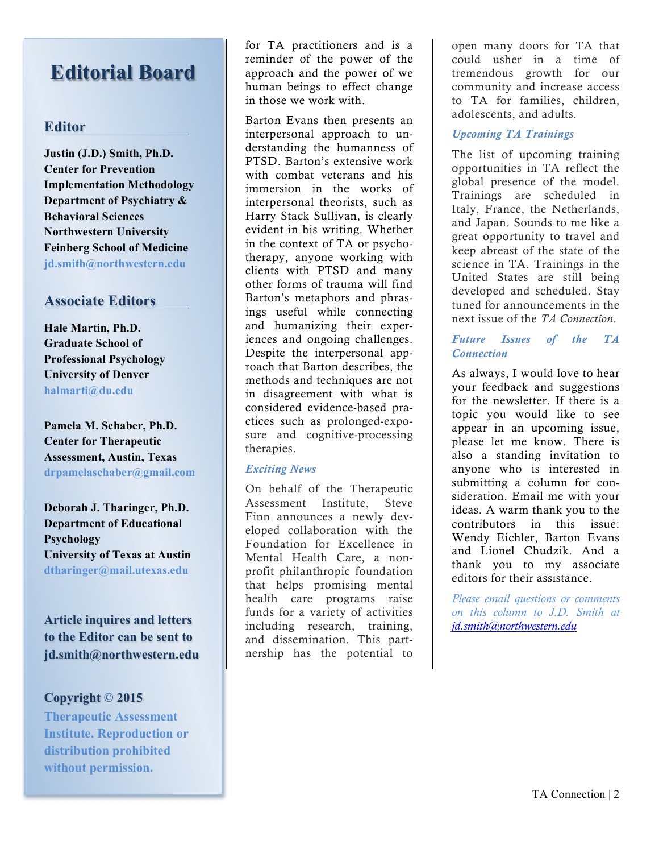### **Editorial Board**

#### **Editor**

**Justin (J.D.) Smith, Ph.D. Center for Prevention Implementation Methodology Department of Psychiatry & Behavioral Sciences Northwestern University Feinberg School of Medicine jd.smith@northwestern.edu**

#### **Associate Editors**

**Hale Martin, Ph.D. Graduate School of Professional Psychology University of Denver halmarti@du.edu**

**Pamela M. Schaber, Ph.D. Center for Therapeutic Assessment, Austin, Texas drpamelaschaber@gmail.com**

**Deborah J. Tharinger, Ph.D. Department of Educational Psychology University of Texas at Austin dtharinger@mail.utexas.edu**

**Article inquires and letters to the Editor can be sent to jd.smith@northwestern.edu**

#### **Copyright © 2015**

**Therapeutic Assessment Institute. Reproduction or distribution prohibited without permission.**

for TA practitioners and is a reminder of the power of the approach and the power of we human beings to effect change in those we work with.

Barton Evans then presents an interpersonal approach to understanding the humanness of PTSD. Barton's extensive work with combat veterans and his immersion in the works of interpersonal theorists, such as Harry Stack Sullivan, is clearly evident in his writing. Whether in the context of TA or psychotherapy, anyone working with clients with PTSD and many other forms of trauma will find Barton's metaphors and phrasings useful while connecting and humanizing their experiences and ongoing challenges. Despite the interpersonal approach that Barton describes, the methods and techniques are not in disagreement with what is considered evidence-based practices such as prolonged-exposure and cognitive-processing therapies.

#### *Exciting News*

On behalf of the Therapeutic Assessment Institute, Steve Finn announces a newly developed collaboration with the Foundation for Excellence in Mental Health Care, a nonprofit philanthropic foundation that helps promising mental health care programs raise funds for a variety of activities including research, training, and dissemination. This partnership has the potential to

open many doors for TA that could usher in a time of tremendous growth for our community and increase access to TA for families, children, adolescents, and adults.

#### *Upcoming TA Trainings*

The list of upcoming training opportunities in TA reflect the global presence of the model. Trainings are scheduled in Italy, France, the Netherlands, and Japan. Sounds to me like a great opportunity to travel and keep abreast of the state of the science in TA. Trainings in the United States are still being developed and scheduled. Stay tuned for announcements in the next issue of the *TA Connection*.

#### *Future Issues of the TA Connection*

As always, I would love to hear your feedback and suggestions for the newsletter. If there is a topic you would like to see appear in an upcoming issue, please let me know. There is also a standing invitation to anyone who is interested in submitting a column for consideration. Email me with your ideas. A warm thank you to the contributors in this issue: Wendy Eichler, Barton Evans and Lionel Chudzik. And a thank you to my associate editors for their assistance.

*Please email questions or comments on this column to J.D. Smith at jd.smith@northwestern.edu*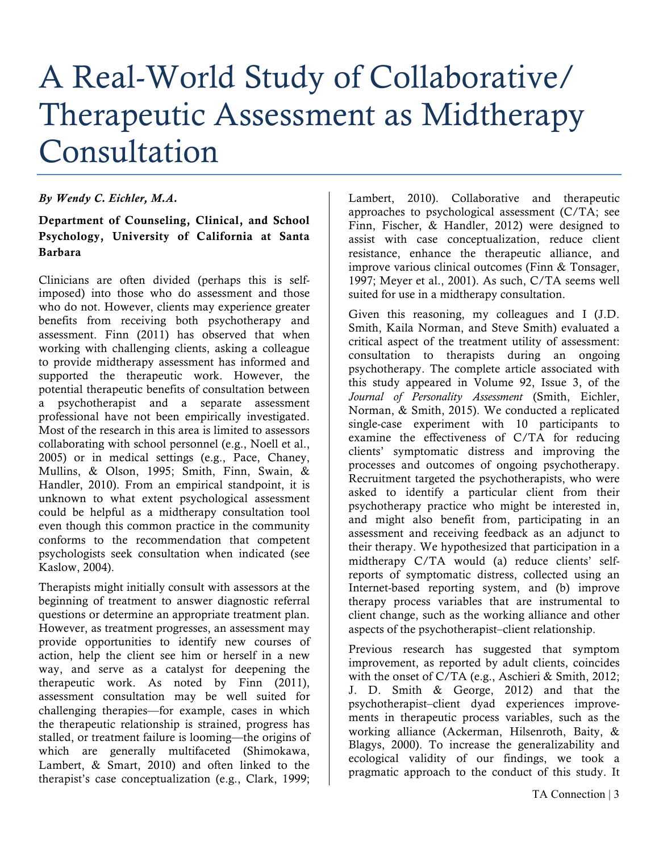# A Real-World Study of Collaborative/ Therapeutic Assessment as Midtherapy Consultation

#### *By Wendy C. Eichler, M.A.*

#### Department of Counseling, Clinical, and School Psychology, University of California at Santa Barbara

Clinicians are often divided (perhaps this is selfimposed) into those who do assessment and those who do not. However, clients may experience greater benefits from receiving both psychotherapy and assessment. Finn (2011) has observed that when working with challenging clients, asking a colleague to provide midtherapy assessment has informed and supported the therapeutic work. However, the potential therapeutic benefits of consultation between a psychotherapist and a separate assessment professional have not been empirically investigated. Most of the research in this area is limited to assessors collaborating with school personnel (e.g., Noell et al., 2005) or in medical settings (e.g., Pace, Chaney, Mullins, & Olson, 1995; Smith, Finn, Swain, & Handler, 2010). From an empirical standpoint, it is unknown to what extent psychological assessment could be helpful as a midtherapy consultation tool even though this common practice in the community conforms to the recommendation that competent psychologists seek consultation when indicated (see Kaslow, 2004).

Therapists might initially consult with assessors at the beginning of treatment to answer diagnostic referral questions or determine an appropriate treatment plan. However, as treatment progresses, an assessment may provide opportunities to identify new courses of action, help the client see him or herself in a new way, and serve as a catalyst for deepening the therapeutic work. As noted by Finn (2011), assessment consultation may be well suited for challenging therapies—for example, cases in which the therapeutic relationship is strained, progress has stalled, or treatment failure is looming—the origins of which are generally multifaceted (Shimokawa, Lambert, & Smart, 2010) and often linked to the therapist's case conceptualization (e.g., Clark, 1999;

Lambert, 2010). Collaborative and therapeutic approaches to psychological assessment (C/TA; see Finn, Fischer, & Handler, 2012) were designed to assist with case conceptualization, reduce client resistance, enhance the therapeutic alliance, and improve various clinical outcomes (Finn & Tonsager, 1997; Meyer et al., 2001). As such, C/TA seems well suited for use in a midtherapy consultation.

Given this reasoning, my colleagues and I (J.D. Smith, Kaila Norman, and Steve Smith) evaluated a critical aspect of the treatment utility of assessment: consultation to therapists during an ongoing psychotherapy. The complete article associated with this study appeared in Volume 92, Issue 3, of the *Journal of Personality Assessment* (Smith, Eichler, Norman, & Smith, 2015). We conducted a replicated single-case experiment with 10 participants to examine the effectiveness of C/TA for reducing clients' symptomatic distress and improving the processes and outcomes of ongoing psychotherapy. Recruitment targeted the psychotherapists, who were asked to identify a particular client from their psychotherapy practice who might be interested in, and might also benefit from, participating in an assessment and receiving feedback as an adjunct to their therapy. We hypothesized that participation in a midtherapy C/TA would (a) reduce clients' selfreports of symptomatic distress, collected using an Internet-based reporting system, and (b) improve therapy process variables that are instrumental to client change, such as the working alliance and other aspects of the psychotherapist–client relationship.

Previous research has suggested that symptom improvement, as reported by adult clients, coincides with the onset of C/TA (e.g., Aschieri & Smith, 2012; J. D. Smith & George, 2012) and that the psychotherapist–client dyad experiences improvements in therapeutic process variables, such as the working alliance (Ackerman, Hilsenroth, Baity, & Blagys, 2000). To increase the generalizability and ecological validity of our findings, we took a pragmatic approach to the conduct of this study. It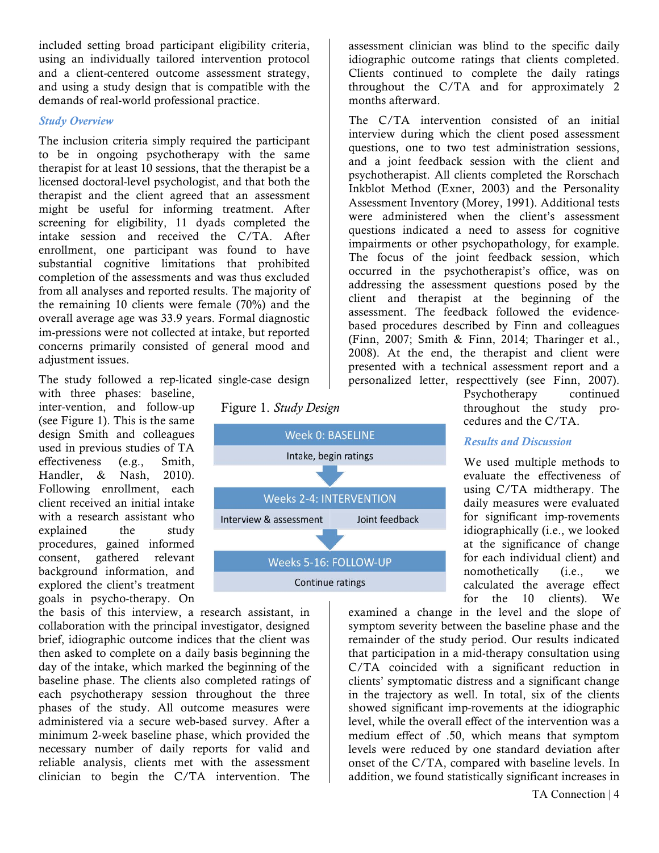included setting broad participant eligibility criteria, using an individually tailored intervention protocol and a client-centered outcome assessment strategy, and using a study design that is compatible with the demands of real-world professional practice.

#### *Study Overview*

The inclusion criteria simply required the participant to be in ongoing psychotherapy with the same therapist for at least 10 sessions, that the therapist be a licensed doctoral-level psychologist, and that both the therapist and the client agreed that an assessment might be useful for informing treatment. After screening for eligibility, 11 dyads completed the intake session and received the C/TA. After enrollment, one participant was found to have substantial cognitive limitations that prohibited completion of the assessments and was thus excluded from all analyses and reported results. The majority of the remaining 10 clients were female (70%) and the overall average age was 33.9 years. Formal diagnostic im-pressions were not collected at intake, but reported concerns primarily consisted of general mood and adjustment issues.

The study followed a rep-licated single-case design

with three phases: baseline, inter-vention, and follow-up (see Figure 1). This is the same design Smith and colleagues used in previous studies of TA effectiveness (e.g., Smith, Handler, & Nash, 2010). Following enrollment, each client received an initial intake with a research assistant who explained the study procedures, gained informed consent, gathered relevant background information, and explored the client's treatment goals in psycho-therapy. On

the basis of this interview, a research assistant, in collaboration with the principal investigator, designed brief, idiographic outcome indices that the client was then asked to complete on a daily basis beginning the day of the intake, which marked the beginning of the baseline phase. The clients also completed ratings of each psychotherapy session throughout the three phases of the study. All outcome measures were administered via a secure web-based survey. After a minimum 2-week baseline phase, which provided the necessary number of daily reports for valid and reliable analysis, clients met with the assessment clinician to begin the C/TA intervention. The





assessment clinician was blind to the specific daily idiographic outcome ratings that clients completed. Clients continued to complete the daily ratings throughout the C/TA and for approximately 2 months afterward.

The C/TA intervention consisted of an initial interview during which the client posed assessment questions, one to two test administration sessions, and a joint feedback session with the client and psychotherapist. All clients completed the Rorschach Inkblot Method (Exner, 2003) and the Personality Assessment Inventory (Morey, 1991). Additional tests were administered when the client's assessment questions indicated a need to assess for cognitive impairments or other psychopathology, for example. The focus of the joint feedback session, which occurred in the psychotherapist's office, was on addressing the assessment questions posed by the client and therapist at the beginning of the assessment. The feedback followed the evidencebased procedures described by Finn and colleagues (Finn, 2007; Smith & Finn, 2014; Tharinger et al., 2008). At the end, the therapist and client were presented with a technical assessment report and a personalized letter, respecttively (see Finn, 2007).

Psychotherapy continued throughout the study procedures and the C/TA.

#### *Results and Discussion*

We used multiple methods to evaluate the effectiveness of using C/TA midtherapy. The daily measures were evaluated for significant imp-rovements idiographically (i.e., we looked at the significance of change for each individual client) and nomothetically (i.e., we calculated the average effect for the 10 clients). We

examined a change in the level and the slope of symptom severity between the baseline phase and the remainder of the study period. Our results indicated that participation in a mid-therapy consultation using C/TA coincided with a significant reduction in clients' symptomatic distress and a significant change in the trajectory as well. In total, six of the clients showed significant imp-rovements at the idiographic level, while the overall effect of the intervention was a medium effect of .50, which means that symptom levels were reduced by one standard deviation after onset of the C/TA, compared with baseline levels. In addition, we found statistically significant increases in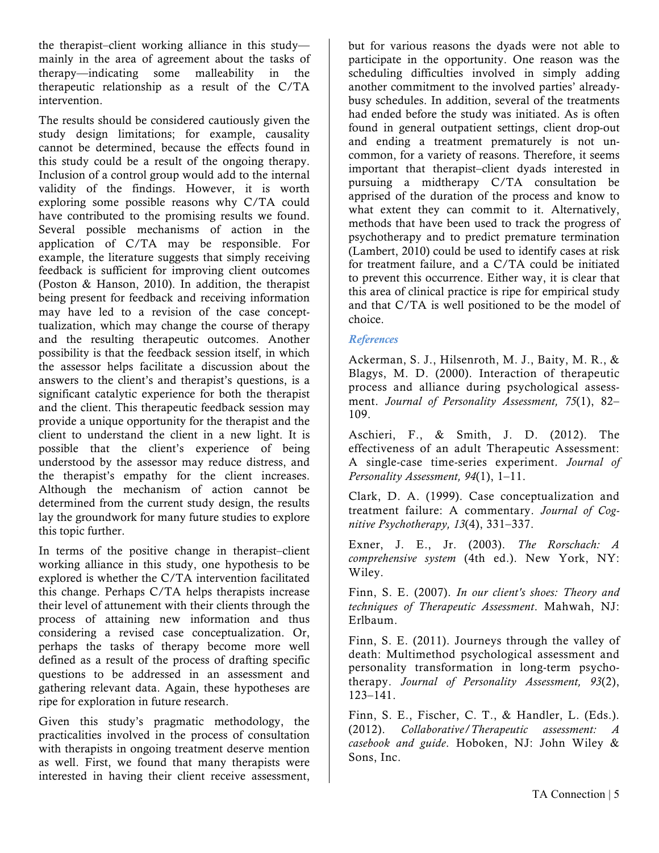the therapist–client working alliance in this study mainly in the area of agreement about the tasks of therapy—indicating some malleability in the therapeutic relationship as a result of the C/TA intervention.

The results should be considered cautiously given the study design limitations; for example, causality cannot be determined, because the effects found in this study could be a result of the ongoing therapy. Inclusion of a control group would add to the internal validity of the findings. However, it is worth exploring some possible reasons why C/TA could have contributed to the promising results we found. Several possible mechanisms of action in the application of C/TA may be responsible. For example, the literature suggests that simply receiving feedback is sufficient for improving client outcomes (Poston & Hanson, 2010). In addition, the therapist being present for feedback and receiving information may have led to a revision of the case concepttualization, which may change the course of therapy and the resulting therapeutic outcomes. Another possibility is that the feedback session itself, in which the assessor helps facilitate a discussion about the answers to the client's and therapist's questions, is a significant catalytic experience for both the therapist and the client. This therapeutic feedback session may provide a unique opportunity for the therapist and the client to understand the client in a new light. It is possible that the client's experience of being understood by the assessor may reduce distress, and the therapist's empathy for the client increases. Although the mechanism of action cannot be determined from the current study design, the results lay the groundwork for many future studies to explore this topic further.

In terms of the positive change in therapist–client working alliance in this study, one hypothesis to be explored is whether the C/TA intervention facilitated this change. Perhaps C/TA helps therapists increase their level of attunement with their clients through the process of attaining new information and thus considering a revised case conceptualization. Or, perhaps the tasks of therapy become more well defined as a result of the process of drafting specific questions to be addressed in an assessment and gathering relevant data. Again, these hypotheses are ripe for exploration in future research.

Given this study's pragmatic methodology, the practicalities involved in the process of consultation with therapists in ongoing treatment deserve mention as well. First, we found that many therapists were interested in having their client receive assessment,

but for various reasons the dyads were not able to participate in the opportunity. One reason was the scheduling difficulties involved in simply adding another commitment to the involved parties' alreadybusy schedules. In addition, several of the treatments had ended before the study was initiated. As is often found in general outpatient settings, client drop-out and ending a treatment prematurely is not uncommon, for a variety of reasons. Therefore, it seems important that therapist–client dyads interested in pursuing a midtherapy C/TA consultation be apprised of the duration of the process and know to what extent they can commit to it. Alternatively, methods that have been used to track the progress of psychotherapy and to predict premature termination (Lambert, 2010) could be used to identify cases at risk for treatment failure, and a C/TA could be initiated to prevent this occurrence. Either way, it is clear that this area of clinical practice is ripe for empirical study and that C/TA is well positioned to be the model of choice.

#### *References*

Ackerman, S. J., Hilsenroth, M. J., Baity, M. R., & Blagys, M. D. (2000). Interaction of therapeutic process and alliance during psychological assessment. *Journal of Personality Assessment, 75*(1), 82– 109.

Aschieri, F., & Smith, J. D. (2012). The effectiveness of an adult Therapeutic Assessment: A single-case time-series experiment. *Journal of Personality Assessment, 94*(1), 1–11.

Clark, D. A. (1999). Case conceptualization and treatment failure: A commentary. *Journal of Cognitive Psychotherapy, 13*(4), 331–337.

Exner, J. E., Jr. (2003). *The Rorschach: A comprehensive system* (4th ed.). New York, NY: Wiley.

Finn, S. E. (2007). *In our client's shoes: Theory and techniques of Therapeutic Assessment*. Mahwah, NJ: Erlbaum.

Finn, S. E. (2011). Journeys through the valley of death: Multimethod psychological assessment and personality transformation in long-term psychotherapy. *Journal of Personality Assessment, 93*(2), 123–141.

Finn, S. E., Fischer, C. T., & Handler, L. (Eds.). (2012). *Collaborative/Therapeutic assessment: A casebook and guide*. Hoboken, NJ: John Wiley & Sons, Inc.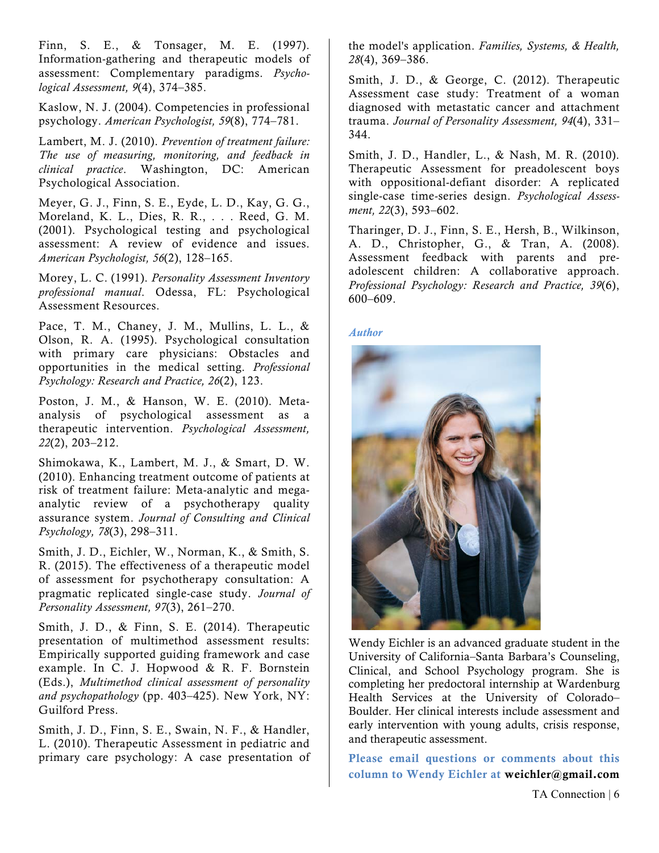Finn, S. E., & Tonsager, M. E. (1997). Information-gathering and therapeutic models of assessment: Complementary paradigms. *Psychological Assessment, 9*(4), 374–385.

Kaslow, N. J. (2004). Competencies in professional psychology. *American Psychologist, 59*(8), 774–781.

Lambert, M. J. (2010). *Prevention of treatment failure: The use of measuring, monitoring, and feedback in clinical practice*. Washington, DC: American Psychological Association.

Meyer, G. J., Finn, S. E., Eyde, L. D., Kay, G. G., Moreland, K. L., Dies, R. R., . . . Reed, G. M. (2001). Psychological testing and psychological assessment: A review of evidence and issues. *American Psychologist, 56*(2), 128–165.

Morey, L. C. (1991). *Personality Assessment Inventory professional manual*. Odessa, FL: Psychological Assessment Resources.

Pace, T. M., Chaney, J. M., Mullins, L. L., & Olson, R. A. (1995). Psychological consultation with primary care physicians: Obstacles and opportunities in the medical setting. *Professional Psychology: Research and Practice, 26*(2), 123.

Poston, J. M., & Hanson, W. E. (2010). Metaanalysis of psychological assessment as a therapeutic intervention. *Psychological Assessment, 22*(2), 203–212.

Shimokawa, K., Lambert, M. J., & Smart, D. W. (2010). Enhancing treatment outcome of patients at risk of treatment failure: Meta-analytic and megaanalytic review of a psychotherapy quality assurance system. *Journal of Consulting and Clinical Psychology, 78*(3), 298–311.

Smith, J. D., Eichler, W., Norman, K., & Smith, S. R. (2015). The effectiveness of a therapeutic model of assessment for psychotherapy consultation: A pragmatic replicated single-case study. *Journal of Personality Assessment, 97*(3), 261–270.

Smith, J. D., & Finn, S. E. (2014). Therapeutic presentation of multimethod assessment results: Empirically supported guiding framework and case example. In C. J. Hopwood & R. F. Bornstein (Eds.), *Multimethod clinical assessment of personality and psychopathology* (pp. 403–425). New York, NY: Guilford Press.

Smith, J. D., Finn, S. E., Swain, N. F., & Handler, L. (2010). Therapeutic Assessment in pediatric and primary care psychology: A case presentation of the model's application. *Families, Systems, & Health, 28*(4), 369–386.

Smith, J. D., & George, C. (2012). Therapeutic Assessment case study: Treatment of a woman diagnosed with metastatic cancer and attachment trauma. *Journal of Personality Assessment, 94*(4), 331– 344.

Smith, J. D., Handler, L., & Nash, M. R. (2010). Therapeutic Assessment for preadolescent boys with oppositional-defiant disorder: A replicated single-case time-series design. *Psychological Assessment, 22*(3), 593–602.

Tharinger, D. J., Finn, S. E., Hersh, B., Wilkinson, A. D., Christopher, G., & Tran, A. (2008). Assessment feedback with parents and preadolescent children: A collaborative approach. *Professional Psychology: Research and Practice, 39*(6), 600–609.

#### *Author*



Wendy Eichler is an advanced graduate student in the University of California–Santa Barbara's Counseling, Clinical, and School Psychology program. She is completing her predoctoral internship at Wardenburg Health Services at the University of Colorado– Boulder. Her clinical interests include assessment and early intervention with young adults, crisis response, and therapeutic assessment.

Please email questions or comments about this column to Wendy Eichler at weichler@gmail.com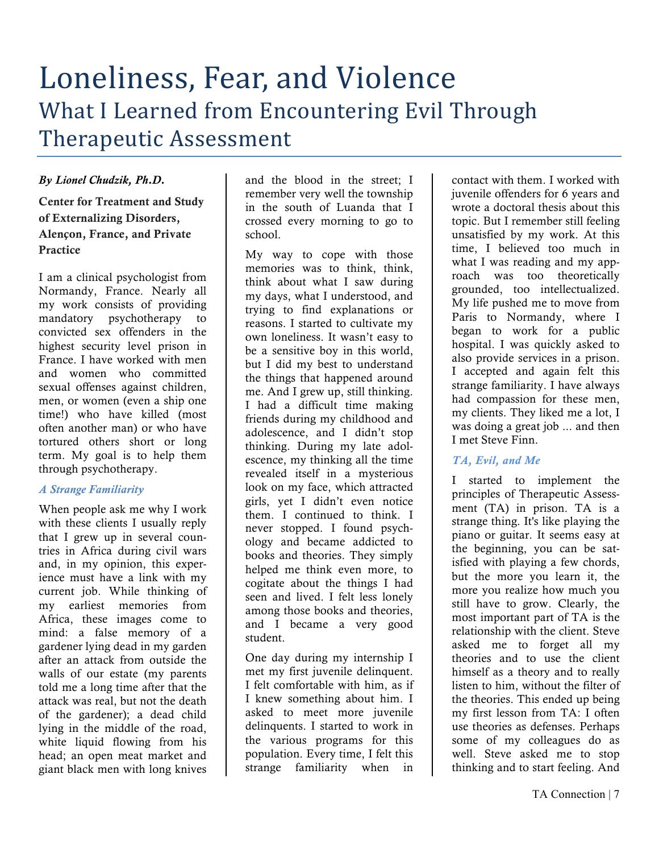### Loneliness, Fear, and Violence What I Learned from Encountering Evil Through Therapeutic Assessment

#### *By Lionel Chudzik, Ph.D.*

Center for Treatment and Study of Externalizing Disorders, Alençon, France, and Private Practice

I am a clinical psychologist from Normandy, France. Nearly all my work consists of providing mandatory psychotherapy to convicted sex offenders in the highest security level prison in France. I have worked with men and women who committed sexual offenses against children, men, or women (even a ship one time!) who have killed (most often another man) or who have tortured others short or long term. My goal is to help them through psychotherapy.

#### *A Strange Familiarity*

When people ask me why I work with these clients I usually reply that I grew up in several countries in Africa during civil wars and, in my opinion, this experience must have a link with my current job. While thinking of my earliest memories from Africa, these images come to mind: a false memory of a gardener lying dead in my garden after an attack from outside the walls of our estate (my parents told me a long time after that the attack was real, but not the death of the gardener); a dead child lying in the middle of the road, white liquid flowing from his head; an open meat market and giant black men with long knives

and the blood in the street; I remember very well the township in the south of Luanda that I crossed every morning to go to school.

My way to cope with those memories was to think, think, think about what I saw during my days, what I understood, and trying to find explanations or reasons. I started to cultivate my own loneliness. It wasn't easy to be a sensitive boy in this world, but I did my best to understand the things that happened around me. And I grew up, still thinking. I had a difficult time making friends during my childhood and adolescence, and I didn't stop thinking. During my late adolescence, my thinking all the time revealed itself in a mysterious look on my face, which attracted girls, yet I didn't even notice them. I continued to think. I never stopped. I found psychology and became addicted to books and theories. They simply helped me think even more, to cogitate about the things I had seen and lived. I felt less lonely among those books and theories, and I became a very good student.

One day during my internship I met my first juvenile delinquent. I felt comfortable with him, as if I knew something about him. I asked to meet more juvenile delinquents. I started to work in the various programs for this population. Every time, I felt this strange familiarity when in

contact with them. I worked with juvenile offenders for 6 years and wrote a doctoral thesis about this topic. But I remember still feeling unsatisfied by my work. At this time, I believed too much in what I was reading and my approach was too theoretically grounded, too intellectualized. My life pushed me to move from Paris to Normandy, where I began to work for a public hospital. I was quickly asked to also provide services in a prison. I accepted and again felt this strange familiarity. I have always had compassion for these men, my clients. They liked me a lot, I was doing a great job ... and then I met Steve Finn.

#### *TA, Evil, and Me*

I started to implement the principles of Therapeutic Assessment (TA) in prison. TA is a strange thing. It's like playing the piano or guitar. It seems easy at the beginning, you can be satisfied with playing a few chords, but the more you learn it, the more you realize how much you still have to grow. Clearly, the most important part of TA is the relationship with the client. Steve asked me to forget all my theories and to use the client himself as a theory and to really listen to him, without the filter of the theories. This ended up being my first lesson from TA: I often use theories as defenses. Perhaps some of my colleagues do as well. Steve asked me to stop thinking and to start feeling. And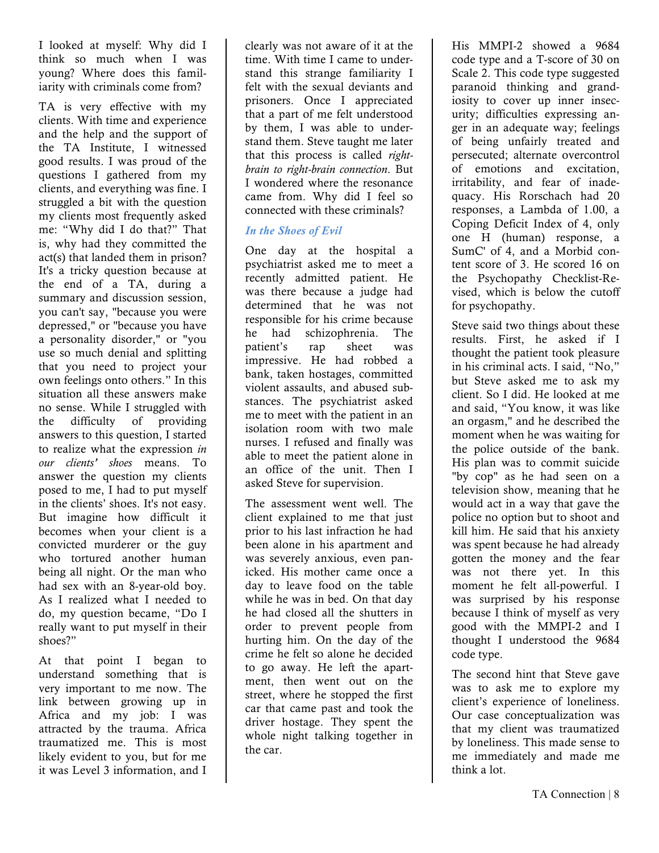I looked at myself: Why did I think so much when I was young? Where does this familiarity with criminals come from?

TA is very effective with my clients. With time and experience and the help and the support of the TA Institute, I witnessed good results. I was proud of the questions I gathered from my clients, and everything was fine. I struggled a bit with the question my clients most frequently asked me: "Why did I do that?" That is, why had they committed the act(s) that landed them in prison? It's a tricky question because at the end of a TA, during a summary and discussion session. you can't say, "because you were depressed," or "because you have a personality disorder," or "you use so much denial and splitting that you need to project your own feelings onto others." In this situation all these answers make no sense. While I struggled with the difficulty of providing answers to this question, I started to realize what the expression *in our clients' shoes* means. To answer the question my clients posed to me, I had to put myself in the clients' shoes. It's not easy. But imagine how difficult it becomes when your client is a convicted murderer or the guy who tortured another human being all night. Or the man who had sex with an 8-year-old boy. As I realized what I needed to do, my question became, "Do I really want to put myself in their shoes?"

At that point I began to understand something that is very important to me now. The link between growing up in Africa and my job: I was attracted by the trauma. Africa traumatized me. This is most likely evident to you, but for me it was Level 3 information, and I

clearly was not aware of it at the time. With time I came to understand this strange familiarity I felt with the sexual deviants and prisoners. Once I appreciated that a part of me felt understood by them, I was able to understand them. Steve taught me later that this process is called *rightbrain to right-brain connection*. But I wondered where the resonance came from. Why did I feel so connected with these criminals?

#### *In the Shoes of Evil*

One day at the hospital a psychiatrist asked me to meet a recently admitted patient. He was there because a judge had determined that he was not responsible for his crime because he had schizophrenia. The patient's rap sheet was impressive. He had robbed a bank, taken hostages, committed violent assaults, and abused substances. The psychiatrist asked me to meet with the patient in an isolation room with two male nurses. I refused and finally was able to meet the patient alone in an office of the unit. Then I asked Steve for supervision.

The assessment went well. The client explained to me that just prior to his last infraction he had been alone in his apartment and was severely anxious, even panicked. His mother came once a day to leave food on the table while he was in bed. On that day he had closed all the shutters in order to prevent people from hurting him. On the day of the crime he felt so alone he decided to go away. He left the apartment, then went out on the street, where he stopped the first car that came past and took the driver hostage. They spent the whole night talking together in the car.

His MMPI-2 showed a 9684 code type and a T-score of 30 on Scale 2. This code type suggested paranoid thinking and grandiosity to cover up inner insecurity; difficulties expressing anger in an adequate way; feelings of being unfairly treated and persecuted; alternate overcontrol of emotions and excitation, irritability, and fear of inadequacy. His Rorschach had 20 responses, a Lambda of 1.00, a Coping Deficit Index of 4, only one H (human) response, a SumC' of 4, and a Morbid content score of 3. He scored 16 on the Psychopathy Checklist-Revised, which is below the cutoff for psychopathy.

Steve said two things about these results. First, he asked if I thought the patient took pleasure in his criminal acts. I said, "No," but Steve asked me to ask my client. So I did. He looked at me and said, "You know, it was like an orgasm," and he described the moment when he was waiting for the police outside of the bank. His plan was to commit suicide "by cop" as he had seen on a television show, meaning that he would act in a way that gave the police no option but to shoot and kill him. He said that his anxiety was spent because he had already gotten the money and the fear was not there yet. In this moment he felt all-powerful. I was surprised by his response because I think of myself as very good with the MMPI-2 and I thought I understood the 9684 code type.

The second hint that Steve gave was to ask me to explore my client's experience of loneliness. Our case conceptualization was that my client was traumatized by loneliness. This made sense to me immediately and made me think a lot.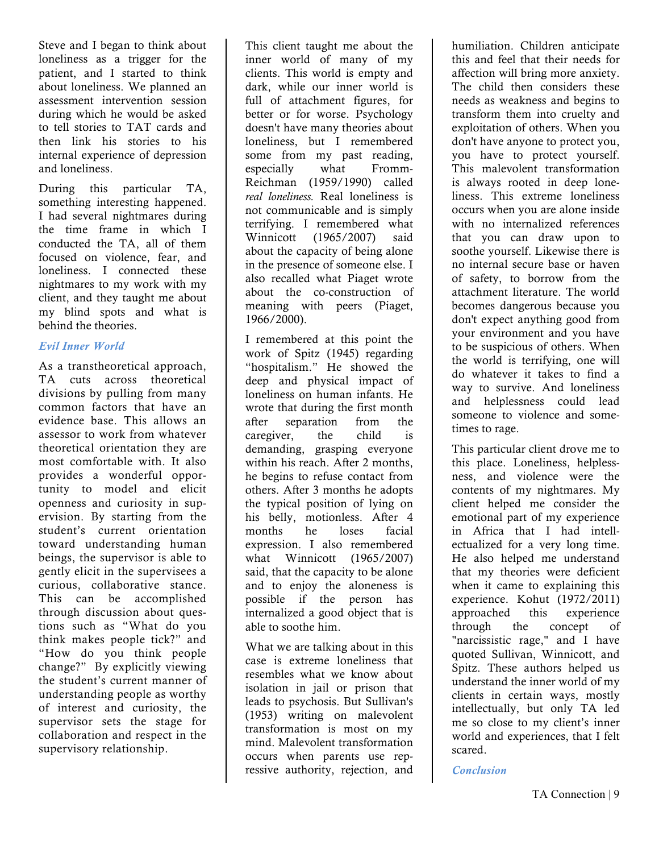Steve and I began to think about loneliness as a trigger for the patient, and I started to think about loneliness. We planned an assessment intervention session during which he would be asked to tell stories to TAT cards and then link his stories to his internal experience of depression and loneliness.

During this particular TA, something interesting happened. I had several nightmares during the time frame in which I conducted the TA, all of them focused on violence, fear, and loneliness. I connected these nightmares to my work with my client, and they taught me about my blind spots and what is behind the theories.

#### *Evil Inner World*

As a transtheoretical approach, TA cuts across theoretical divisions by pulling from many common factors that have an evidence base. This allows an assessor to work from whatever theoretical orientation they are most comfortable with. It also provides a wonderful opportunity to model and elicit openness and curiosity in supervision. By starting from the student's current orientation toward understanding human beings, the supervisor is able to gently elicit in the supervisees a curious, collaborative stance. This can be accomplished through discussion about questions such as "What do you think makes people tick?" and "How do you think people change?" By explicitly viewing the student's current manner of understanding people as worthy of interest and curiosity, the supervisor sets the stage for collaboration and respect in the supervisory relationship.

This client taught me about the inner world of many of my clients. This world is empty and dark, while our inner world is full of attachment figures, for better or for worse. Psychology doesn't have many theories about loneliness, but I remembered some from my past reading, especially what Fromm-Reichman (1959/1990) called *real loneliness.* Real loneliness is not communicable and is simply terrifying. I remembered what Winnicott (1965/2007) said about the capacity of being alone in the presence of someone else. I also recalled what Piaget wrote about the co-construction of meaning with peers (Piaget, 1966/2000).

I remembered at this point the work of Spitz (1945) regarding "hospitalism." He showed the deep and physical impact of loneliness on human infants. He wrote that during the first month after separation from the caregiver, the child is demanding, grasping everyone within his reach. After 2 months, he begins to refuse contact from others. After 3 months he adopts the typical position of lying on his belly, motionless. After 4 months he loses facial expression. I also remembered what Winnicott (1965/2007) said, that the capacity to be alone and to enjoy the aloneness is possible if the person has internalized a good object that is able to soothe him.

What we are talking about in this case is extreme loneliness that resembles what we know about isolation in jail or prison that leads to psychosis. But Sullivan's (1953) writing on malevolent transformation is most on my mind. Malevolent transformation occurs when parents use repressive authority, rejection, and humiliation. Children anticipate this and feel that their needs for affection will bring more anxiety. The child then considers these needs as weakness and begins to transform them into cruelty and exploitation of others. When you don't have anyone to protect you, you have to protect yourself. This malevolent transformation is always rooted in deep loneliness. This extreme loneliness occurs when you are alone inside with no internalized references that you can draw upon to soothe yourself. Likewise there is no internal secure base or haven of safety, to borrow from the attachment literature. The world becomes dangerous because you don't expect anything good from your environment and you have to be suspicious of others. When the world is terrifying, one will do whatever it takes to find a way to survive. And loneliness and helplessness could lead someone to violence and sometimes to rage.

This particular client drove me to this place. Loneliness, helplessness, and violence were the contents of my nightmares. My client helped me consider the emotional part of my experience in Africa that I had intellectualized for a very long time. He also helped me understand that my theories were deficient when it came to explaining this experience. Kohut (1972/2011) approached this experience through the concept of "narcissistic rage," and I have quoted Sullivan, Winnicott, and Spitz. These authors helped us understand the inner world of my clients in certain ways, mostly intellectually, but only TA led me so close to my client's inner world and experiences, that I felt scared.

*Conclusion*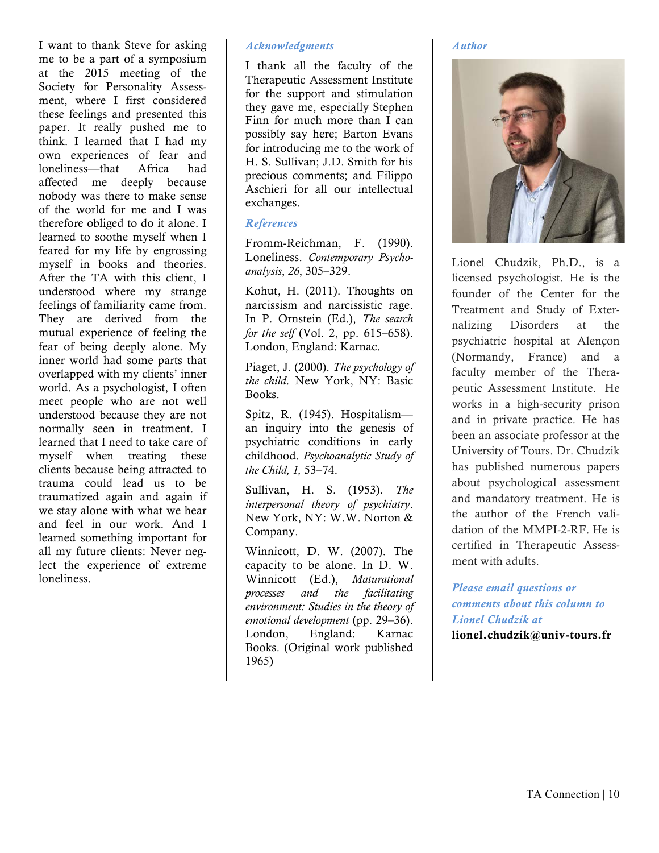I want to thank Steve for asking me to be a part of a symposium at the 2015 meeting of the Society for Personality Assessment, where I first considered these feelings and presented this paper. It really pushed me to think. I learned that I had my own experiences of fear and loneliness—that Africa had affected me deeply because nobody was there to make sense of the world for me and I was therefore obliged to do it alone. I learned to soothe myself when I feared for my life by engrossing myself in books and theories. After the TA with this client, I understood where my strange feelings of familiarity came from. They are derived from the mutual experience of feeling the fear of being deeply alone. My inner world had some parts that overlapped with my clients' inner world. As a psychologist, I often meet people who are not well understood because they are not normally seen in treatment. I learned that I need to take care of myself when treating these clients because being attracted to trauma could lead us to be traumatized again and again if we stay alone with what we hear and feel in our work. And I learned something important for all my future clients: Never neglect the experience of extreme loneliness.

#### *Acknowledgments*

I thank all the faculty of the Therapeutic Assessment Institute for the support and stimulation they gave me, especially Stephen Finn for much more than I can possibly say here; Barton Evans for introducing me to the work of H. S. Sullivan; J.D. Smith for his precious comments; and Filippo Aschieri for all our intellectual exchanges.

#### *References*

Fromm-Reichman, F. (1990). Loneliness. *Contemporary Psychoanalysis*, *26*, 305–329.

Kohut, H. (2011). Thoughts on narcissism and narcissistic rage. In P. Ornstein (Ed.), *The search for the self* (Vol. 2, pp. 615–658). London, England: Karnac.

Piaget, J. (2000). *The psychology of the child*. New York, NY: Basic Books.

Spitz, R. (1945). Hospitalism an inquiry into the genesis of psychiatric conditions in early childhood. *Psychoanalytic Study of the Child, 1,* 53–74.

Sullivan, H. S. (1953). *The interpersonal theory of psychiatry*. New York, NY: W.W. Norton & Company.

Winnicott, D. W. (2007). The capacity to be alone. In D. W. Winnicott (Ed.), *Maturational processes and the facilitating environment: Studies in the theory of emotional development* (pp. 29–36). London, England: Karnac Books. (Original work published 1965)

#### *Author*



Lionel Chudzik, Ph.D., is a licensed psychologist. He is the founder of the Center for the Treatment and Study of Externalizing Disorders at the psychiatric hospital at Alençon (Normandy, France) and a faculty member of the Therapeutic Assessment Institute. He works in a high-security prison and in private practice. He has been an associate professor at the University of Tours. Dr. Chudzik has published numerous papers about psychological assessment and mandatory treatment. He is the author of the French validation of the MMPI-2-RF. He is certified in Therapeutic Assessment with adults.

*Please email questions or comments about this column to Lionel Chudzik at* lionel.chudzik@univ-tours.fr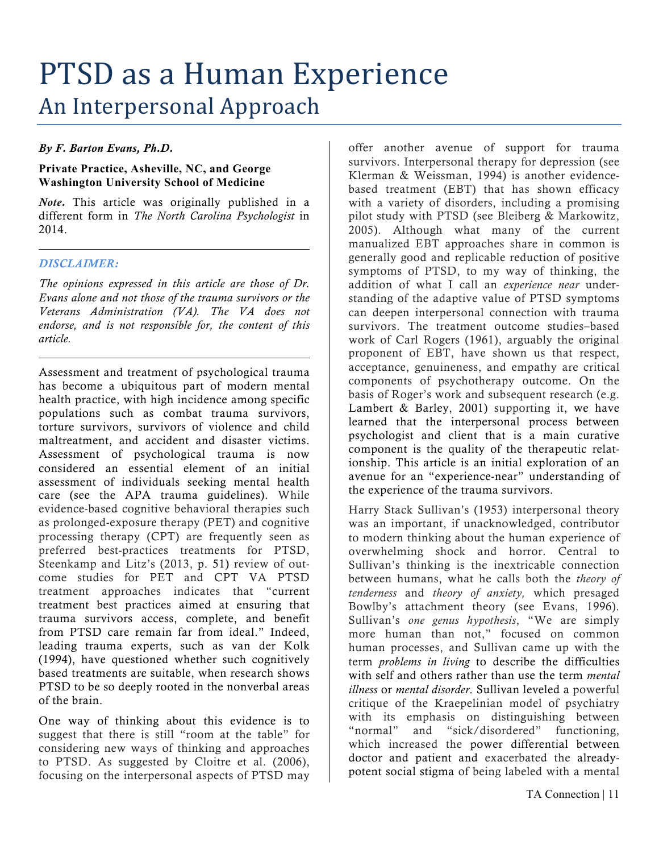## PTSD as a Human Experience An Interpersonal Approach

#### *By F. Barton Evans, Ph.D.*

#### **Private Practice, Asheville, NC, and George Washington University School of Medicine**

*Note.* This article was originally published in a different form in *The North Carolina Psychologist* in 2014.

#### *DISCLAIMER:*

*The opinions expressed in this article are those of Dr. Evans alone and not those of the trauma survivors or the Veterans Administration (VA). The VA does not endorse, and is not responsible for, the content of this article.*

Assessment and treatment of psychological trauma has become a ubiquitous part of modern mental health practice, with high incidence among specific populations such as combat trauma survivors, torture survivors, survivors of violence and child maltreatment, and accident and disaster victims. Assessment of psychological trauma is now considered an essential element of an initial assessment of individuals seeking mental health care (see the APA trauma guidelines). While evidence-based cognitive behavioral therapies such as prolonged-exposure therapy (PET) and cognitive processing therapy (CPT) are frequently seen as preferred best-practices treatments for PTSD, Steenkamp and Litz's (2013, p. 51) review of outcome studies for PET and CPT VA PTSD treatment approaches indicates that "current treatment best practices aimed at ensuring that trauma survivors access, complete, and benefit from PTSD care remain far from ideal." Indeed, leading trauma experts, such as van der Kolk (1994), have questioned whether such cognitively based treatments are suitable, when research shows PTSD to be so deeply rooted in the nonverbal areas of the brain.

One way of thinking about this evidence is to suggest that there is still "room at the table" for considering new ways of thinking and approaches to PTSD. As suggested by Cloitre et al. (2006), focusing on the interpersonal aspects of PTSD may

offer another avenue of support for trauma survivors. Interpersonal therapy for depression (see Klerman & Weissman, 1994) is another evidencebased treatment (EBT) that has shown efficacy with a variety of disorders, including a promising pilot study with PTSD (see Bleiberg & Markowitz, 2005). Although what many of the current manualized EBT approaches share in common is generally good and replicable reduction of positive symptoms of PTSD, to my way of thinking, the addition of what I call an *experience near* understanding of the adaptive value of PTSD symptoms can deepen interpersonal connection with trauma survivors. The treatment outcome studies–based work of Carl Rogers (1961), arguably the original proponent of EBT, have shown us that respect, acceptance, genuineness, and empathy are critical components of psychotherapy outcome. On the basis of Roger's work and subsequent research (e.g. Lambert & Barley, 2001) supporting it, we have learned that the interpersonal process between psychologist and client that is a main curative component is the quality of the therapeutic relationship. This article is an initial exploration of an avenue for an "experience-near" understanding of the experience of the trauma survivors.

Harry Stack Sullivan's (1953) interpersonal theory was an important, if unacknowledged, contributor to modern thinking about the human experience of overwhelming shock and horror. Central to Sullivan's thinking is the inextricable connection between humans, what he calls both the *theory of tenderness* and *theory of anxiety,* which presaged Bowlby's attachment theory (see Evans, 1996). Sullivan's *one genus hypothesis*, "We are simply more human than not," focused on common human processes, and Sullivan came up with the term *problems in living* to describe the difficulties with self and others rather than use the term *mental illness* or *mental disorder*. Sullivan leveled a powerful critique of the Kraepelinian model of psychiatry with its emphasis on distinguishing between "normal" and "sick/disordered" functioning, which increased the power differential between doctor and patient and exacerbated the alreadypotent social stigma of being labeled with a mental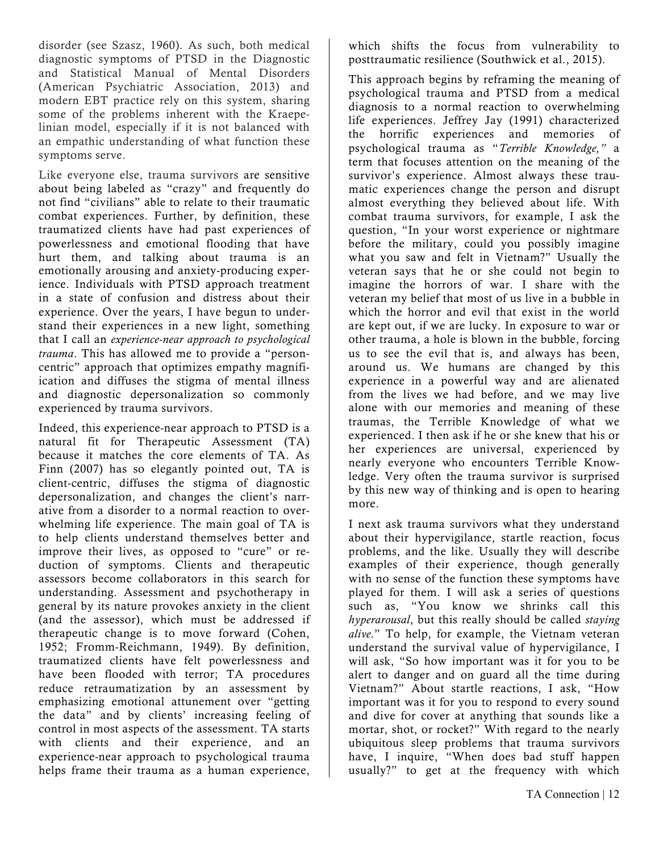disorder (see Szasz, 1960). As such, both medical diagnostic symptoms of PTSD in the Diagnostic and Statistical Manual of Mental Disorders (American Psychiatric Association, 2013) and modern EBT practice rely on this system, sharing some of the problems inherent with the Kraepelinian model, especially if it is not balanced with an empathic understanding of what function these symptoms serve.

Like everyone else, trauma survivors are sensitive about being labeled as "crazy" and frequently do not find "civilians" able to relate to their traumatic combat experiences. Further, by definition, these traumatized clients have had past experiences of powerlessness and emotional flooding that have hurt them, and talking about trauma is an emotionally arousing and anxiety-producing experience. Individuals with PTSD approach treatment in a state of confusion and distress about their experience. Over the years, I have begun to understand their experiences in a new light, something that I call an *experience-near approach to psychological trauma*. This has allowed me to provide a "personcentric" approach that optimizes empathy magnifiication and diffuses the stigma of mental illness and diagnostic depersonalization so commonly experienced by trauma survivors.

Indeed, this experience-near approach to PTSD is a natural fit for Therapeutic Assessment (TA) because it matches the core elements of TA. As Finn (2007) has so elegantly pointed out, TA is client-centric, diffuses the stigma of diagnostic depersonalization, and changes the client's narrative from a disorder to a normal reaction to overwhelming life experience. The main goal of TA is to help clients understand themselves better and improve their lives, as opposed to "cure" or reduction of symptoms. Clients and therapeutic assessors become collaborators in this search for understanding. Assessment and psychotherapy in general by its nature provokes anxiety in the client (and the assessor), which must be addressed if therapeutic change is to move forward (Cohen, 1952; Fromm-Reichmann, 1949). By definition, traumatized clients have felt powerlessness and have been flooded with terror; TA procedures reduce retraumatization by an assessment by emphasizing emotional attunement over "getting the data" and by clients' increasing feeling of control in most aspects of the assessment. TA starts with clients and their experience, and an experience-near approach to psychological trauma helps frame their trauma as a human experience,

which shifts the focus from vulnerability to posttraumatic resilience (Southwick et al., 2015).

This approach begins by reframing the meaning of psychological trauma and PTSD from a medical diagnosis to a normal reaction to overwhelming life experiences. Jeffrey Jay (1991) characterized the horrific experiences and memories of psychological trauma as "*Terrible Knowledge,"* a term that focuses attention on the meaning of the survivor's experience. Almost always these traumatic experiences change the person and disrupt almost everything they believed about life. With combat trauma survivors, for example, I ask the question, "In your worst experience or nightmare before the military, could you possibly imagine what you saw and felt in Vietnam?" Usually the veteran says that he or she could not begin to imagine the horrors of war. I share with the veteran my belief that most of us live in a bubble in which the horror and evil that exist in the world are kept out, if we are lucky. In exposure to war or other trauma, a hole is blown in the bubble, forcing us to see the evil that is, and always has been, around us. We humans are changed by this experience in a powerful way and are alienated from the lives we had before, and we may live alone with our memories and meaning of these traumas, the Terrible Knowledge of what we experienced. I then ask if he or she knew that his or her experiences are universal, experienced by nearly everyone who encounters Terrible Knowledge. Very often the trauma survivor is surprised by this new way of thinking and is open to hearing more.

I next ask trauma survivors what they understand about their hypervigilance, startle reaction, focus problems, and the like. Usually they will describe examples of their experience, though generally with no sense of the function these symptoms have played for them. I will ask a series of questions such as, "You know we shrinks call this *hyperarousal*, but this really should be called *staying alive.*" To help, for example, the Vietnam veteran understand the survival value of hypervigilance, I will ask, "So how important was it for you to be alert to danger and on guard all the time during Vietnam?" About startle reactions, I ask, "How important was it for you to respond to every sound and dive for cover at anything that sounds like a mortar, shot, or rocket?" With regard to the nearly ubiquitous sleep problems that trauma survivors have, I inquire, "When does bad stuff happen usually?" to get at the frequency with which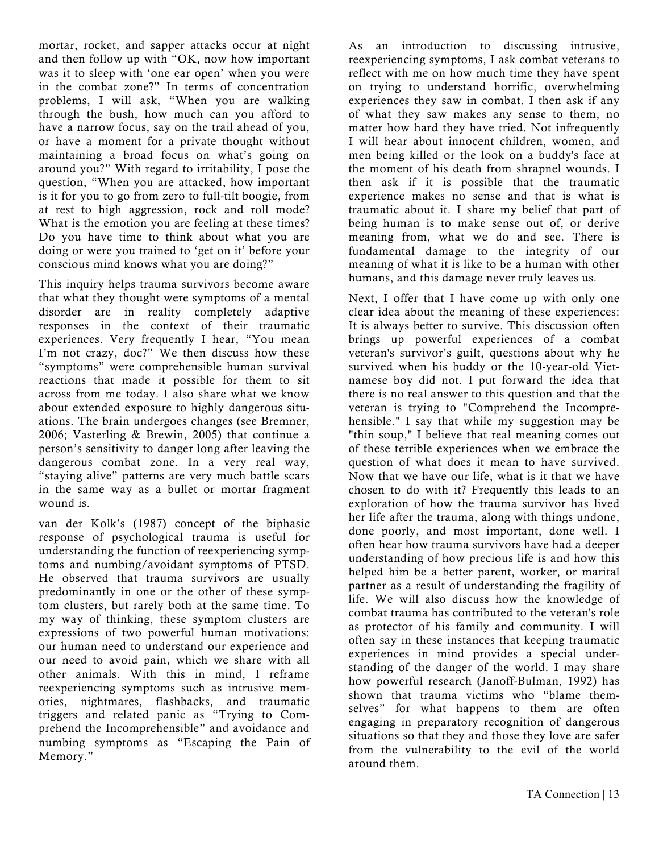mortar, rocket, and sapper attacks occur at night and then follow up with "OK, now how important was it to sleep with 'one ear open' when you were in the combat zone?" In terms of concentration problems, I will ask, "When you are walking through the bush, how much can you afford to have a narrow focus, say on the trail ahead of you, or have a moment for a private thought without maintaining a broad focus on what's going on around you?" With regard to irritability, I pose the question, "When you are attacked, how important is it for you to go from zero to full-tilt boogie, from at rest to high aggression, rock and roll mode? What is the emotion you are feeling at these times? Do you have time to think about what you are doing or were you trained to 'get on it' before your conscious mind knows what you are doing?"

This inquiry helps trauma survivors become aware that what they thought were symptoms of a mental disorder are in reality completely adaptive responses in the context of their traumatic experiences. Very frequently I hear, "You mean I'm not crazy, doc?" We then discuss how these "symptoms" were comprehensible human survival reactions that made it possible for them to sit across from me today. I also share what we know about extended exposure to highly dangerous situations. The brain undergoes changes (see Bremner, 2006; Vasterling & Brewin, 2005) that continue a person's sensitivity to danger long after leaving the dangerous combat zone. In a very real way, "staying alive" patterns are very much battle scars in the same way as a bullet or mortar fragment wound is.

van der Kolk's (1987) concept of the biphasic response of psychological trauma is useful for understanding the function of reexperiencing symptoms and numbing/avoidant symptoms of PTSD. He observed that trauma survivors are usually predominantly in one or the other of these symptom clusters, but rarely both at the same time. To my way of thinking, these symptom clusters are expressions of two powerful human motivations: our human need to understand our experience and our need to avoid pain, which we share with all other animals. With this in mind, I reframe reexperiencing symptoms such as intrusive memories, nightmares, flashbacks, and traumatic triggers and related panic as "Trying to Comprehend the Incomprehensible" and avoidance and numbing symptoms as "Escaping the Pain of Memory."

As an introduction to discussing intrusive, reexperiencing symptoms, I ask combat veterans to reflect with me on how much time they have spent on trying to understand horrific, overwhelming experiences they saw in combat. I then ask if any of what they saw makes any sense to them, no matter how hard they have tried. Not infrequently I will hear about innocent children, women, and men being killed or the look on a buddy's face at the moment of his death from shrapnel wounds. I then ask if it is possible that the traumatic experience makes no sense and that is what is traumatic about it. I share my belief that part of being human is to make sense out of, or derive meaning from, what we do and see. There is fundamental damage to the integrity of our meaning of what it is like to be a human with other humans, and this damage never truly leaves us.

Next, I offer that I have come up with only one clear idea about the meaning of these experiences: It is always better to survive. This discussion often brings up powerful experiences of a combat veteran's survivor's guilt, questions about why he survived when his buddy or the 10-year-old Vietnamese boy did not. I put forward the idea that there is no real answer to this question and that the veteran is trying to "Comprehend the Incomprehensible." I say that while my suggestion may be "thin soup," I believe that real meaning comes out of these terrible experiences when we embrace the question of what does it mean to have survived. Now that we have our life, what is it that we have chosen to do with it? Frequently this leads to an exploration of how the trauma survivor has lived her life after the trauma, along with things undone, done poorly, and most important, done well. I often hear how trauma survivors have had a deeper understanding of how precious life is and how this helped him be a better parent, worker, or marital partner as a result of understanding the fragility of life. We will also discuss how the knowledge of combat trauma has contributed to the veteran's role as protector of his family and community. I will often say in these instances that keeping traumatic experiences in mind provides a special understanding of the danger of the world. I may share how powerful research (Janoff-Bulman, 1992) has shown that trauma victims who "blame themselves" for what happens to them are often engaging in preparatory recognition of dangerous situations so that they and those they love are safer from the vulnerability to the evil of the world around them.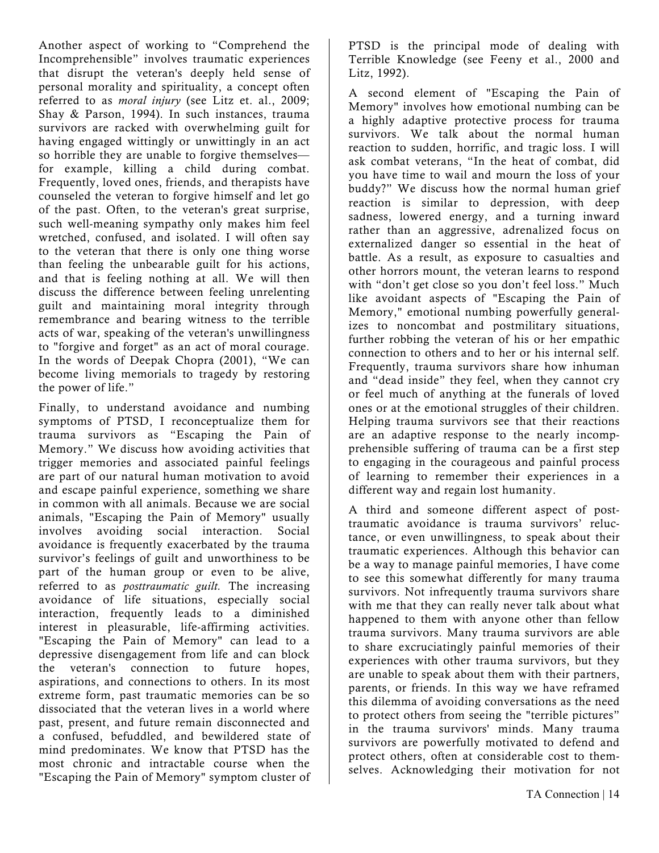Another aspect of working to "Comprehend the Incomprehensible" involves traumatic experiences that disrupt the veteran's deeply held sense of personal morality and spirituality, a concept often referred to as *moral injury* (see Litz et. al., 2009; Shay & Parson, 1994). In such instances, trauma survivors are racked with overwhelming guilt for having engaged wittingly or unwittingly in an act so horrible they are unable to forgive themselves for example, killing a child during combat. Frequently, loved ones, friends, and therapists have counseled the veteran to forgive himself and let go of the past. Often, to the veteran's great surprise, such well-meaning sympathy only makes him feel wretched, confused, and isolated. I will often say to the veteran that there is only one thing worse than feeling the unbearable guilt for his actions, and that is feeling nothing at all. We will then discuss the difference between feeling unrelenting guilt and maintaining moral integrity through remembrance and bearing witness to the terrible acts of war, speaking of the veteran's unwillingness to "forgive and forget" as an act of moral courage. In the words of Deepak Chopra (2001), "We can become living memorials to tragedy by restoring the power of life."

Finally, to understand avoidance and numbing symptoms of PTSD, I reconceptualize them for trauma survivors as "Escaping the Pain of Memory." We discuss how avoiding activities that trigger memories and associated painful feelings are part of our natural human motivation to avoid and escape painful experience, something we share in common with all animals. Because we are social animals, "Escaping the Pain of Memory" usually involves avoiding social interaction. Social avoidance is frequently exacerbated by the trauma survivor's feelings of guilt and unworthiness to be part of the human group or even to be alive, referred to as *posttraumatic guilt.* The increasing avoidance of life situations, especially social interaction, frequently leads to a diminished interest in pleasurable, life-affirming activities. "Escaping the Pain of Memory" can lead to a depressive disengagement from life and can block the veteran's connection to future hopes, aspirations, and connections to others. In its most extreme form, past traumatic memories can be so dissociated that the veteran lives in a world where past, present, and future remain disconnected and a confused, befuddled, and bewildered state of mind predominates. We know that PTSD has the most chronic and intractable course when the "Escaping the Pain of Memory" symptom cluster of

PTSD is the principal mode of dealing with Terrible Knowledge (see Feeny et al., 2000 and Litz, 1992).

A second element of "Escaping the Pain of Memory" involves how emotional numbing can be a highly adaptive protective process for trauma survivors. We talk about the normal human reaction to sudden, horrific, and tragic loss. I will ask combat veterans, "In the heat of combat, did you have time to wail and mourn the loss of your buddy?" We discuss how the normal human grief reaction is similar to depression, with deep sadness, lowered energy, and a turning inward rather than an aggressive, adrenalized focus on externalized danger so essential in the heat of battle. As a result, as exposure to casualties and other horrors mount, the veteran learns to respond with "don't get close so you don't feel loss." Much like avoidant aspects of "Escaping the Pain of Memory," emotional numbing powerfully generalizes to noncombat and postmilitary situations, further robbing the veteran of his or her empathic connection to others and to her or his internal self. Frequently, trauma survivors share how inhuman and "dead inside" they feel, when they cannot cry or feel much of anything at the funerals of loved ones or at the emotional struggles of their children. Helping trauma survivors see that their reactions are an adaptive response to the nearly incompprehensible suffering of trauma can be a first step to engaging in the courageous and painful process of learning to remember their experiences in a different way and regain lost humanity.

A third and someone different aspect of posttraumatic avoidance is trauma survivors' reluctance, or even unwillingness, to speak about their traumatic experiences. Although this behavior can be a way to manage painful memories, I have come to see this somewhat differently for many trauma survivors. Not infrequently trauma survivors share with me that they can really never talk about what happened to them with anyone other than fellow trauma survivors. Many trauma survivors are able to share excruciatingly painful memories of their experiences with other trauma survivors, but they are unable to speak about them with their partners, parents, or friends. In this way we have reframed this dilemma of avoiding conversations as the need to protect others from seeing the "terrible pictures" in the trauma survivors' minds. Many trauma survivors are powerfully motivated to defend and protect others, often at considerable cost to themselves. Acknowledging their motivation for not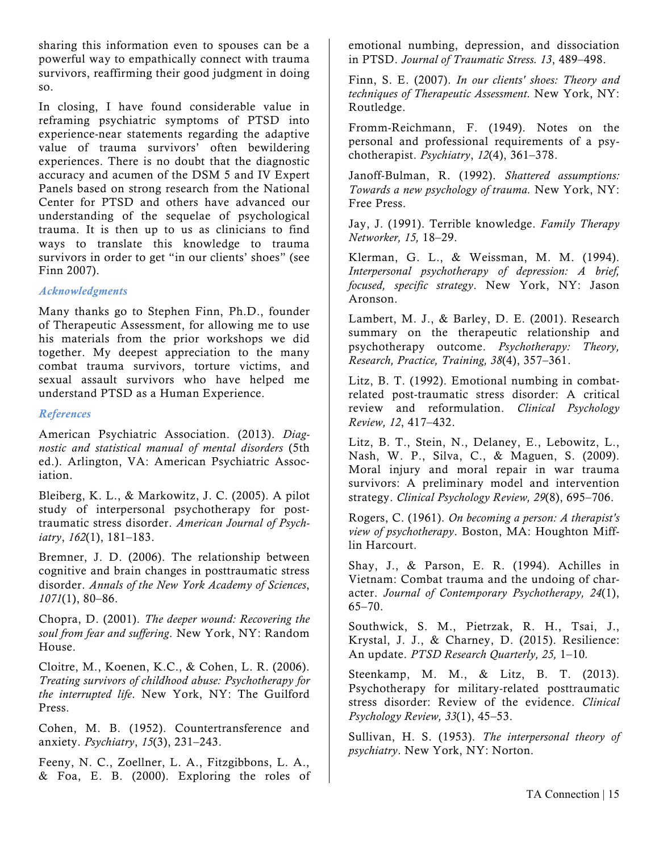sharing this information even to spouses can be a powerful way to empathically connect with trauma survivors, reaffirming their good judgment in doing so.

In closing, I have found considerable value in reframing psychiatric symptoms of PTSD into experience-near statements regarding the adaptive value of trauma survivors' often bewildering experiences. There is no doubt that the diagnostic accuracy and acumen of the DSM 5 and IV Expert Panels based on strong research from the National Center for PTSD and others have advanced our understanding of the sequelae of psychological trauma. It is then up to us as clinicians to find ways to translate this knowledge to trauma survivors in order to get "in our clients' shoes" (see Finn 2007).

#### *Acknowledgments*

Many thanks go to Stephen Finn, Ph.D., founder of Therapeutic Assessment, for allowing me to use his materials from the prior workshops we did together. My deepest appreciation to the many combat trauma survivors, torture victims, and sexual assault survivors who have helped me understand PTSD as a Human Experience.

#### *References*

American Psychiatric Association. (2013). *Diagnostic and statistical manual of mental disorders* (5th ed.). Arlington, VA: American Psychiatric Association.

Bleiberg, K. L., & Markowitz, J. C. (2005). A pilot study of interpersonal psychotherapy for posttraumatic stress disorder. *American Journal of Psychiatry*, *162*(1), 181–183.

Bremner, J. D. (2006). The relationship between cognitive and brain changes in posttraumatic stress disorder. *Annals of the New York Academy of Sciences*, *1071*(1), 80–86.

Chopra, D. (2001). *The deeper wound: Recovering the soul from fear and suffering*. New York, NY: Random House.

Cloitre, M., Koenen, K.C., & Cohen, L. R. (2006). *Treating survivors of childhood abuse: Psychotherapy for the interrupted life*. New York, NY: The Guilford Press.

Cohen, M. B. (1952). Countertransference and anxiety. *Psychiatry*, *15*(3), 231–243.

Feeny, N. C., Zoellner, L. A., Fitzgibbons, L. A., & Foa, E. B. (2000). Exploring the roles of emotional numbing, depression, and dissociation in PTSD. *Journal of Traumatic Stress. 13*, 489–498.

Finn, S. E. (2007). *In our clients' shoes: Theory and techniques of Therapeutic Assessment.* New York, NY: Routledge.

Fromm-Reichmann, F. (1949). Notes on the personal and professional requirements of a psychotherapist. *Psychiatry*, *12*(4), 361–378.

Janoff-Bulman, R. (1992). *Shattered assumptions: Towards a new psychology of trauma.* New York, NY: Free Press.

Jay, J. (1991). Terrible knowledge. *Family Therapy Networker, 15,* 18–29.

Klerman, G. L., & Weissman, M. M. (1994). *Interpersonal psychotherapy of depression: A brief, focused, specific strategy*. New York, NY: Jason Aronson.

Lambert, M. J., & Barley, D. E. (2001). Research summary on the therapeutic relationship and psychotherapy outcome. *Psychotherapy: Theory, Research, Practice, Training, 38*(4), 357–361.

Litz, B. T. (1992). Emotional numbing in combatrelated post-traumatic stress disorder: A critical review and reformulation. *Clinical Psychology Review, 12*, 417–432.

Litz, B. T., Stein, N., Delaney, E., Lebowitz, L., Nash, W. P., Silva, C., & Maguen, S. (2009). Moral injury and moral repair in war trauma survivors: A preliminary model and intervention strategy. *Clinical Psychology Review, 29*(8), 695–706.

Rogers, C. (1961). *On becoming a person: A therapist's view of psychotherapy*. Boston, MA: Houghton Mifflin Harcourt.

Shay, J., & Parson, E. R. (1994). Achilles in Vietnam: Combat trauma and the undoing of character. *Journal of Contemporary Psychotherapy, 24*(1),  $65 - 70.$ 

Southwick, S. M., Pietrzak, R. H., Tsai, J., Krystal, J. J., & Charney, D. (2015). Resilience: An update. *PTSD Research Quarterly, 25,* 1–10*.*

Steenkamp, M. M., & Litz, B. T. (2013). Psychotherapy for military-related posttraumatic stress disorder: Review of the evidence. *Clinical Psychology Review, 33*(1), 45–53.

Sullivan, H. S. (1953). *The interpersonal theory of psychiatry*. New York, NY: Norton.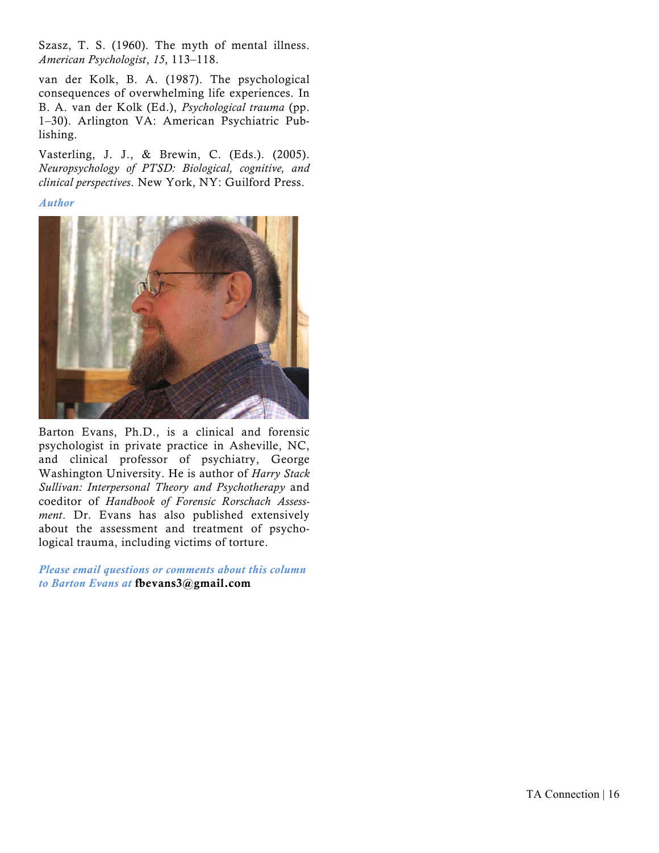Szasz, T. S. (1960). The myth of mental illness. *American Psychologist*, *15*, 113–118.

van der Kolk, B. A. (1987). The psychological consequences of overwhelming life experiences. In B. A. van der Kolk (Ed.), *Psychological trauma* (pp. 1–30). Arlington VA: American Psychiatric Publishing.

Vasterling, J. J., & Brewin, C. (Eds.). (2005). *Neuropsychology of PTSD: Biological, cognitive, and clinical perspectives*. New York, NY: Guilford Press.

#### *Author*



Barton Evans, Ph.D., is a clinical and forensic psychologist in private practice in Asheville, NC, and clinical professor of psychiatry, George Washington University. He is author of *Harry Stack Sullivan: Interpersonal Theory and Psychotherapy* and coeditor of *Handbook of Forensic Rorschach Assessment*. Dr. Evans has also published extensively about the assessment and treatment of psychological trauma, including victims of torture.

*Please email questions or comments about this column to Barton Evans at* fbevans3@gmail.com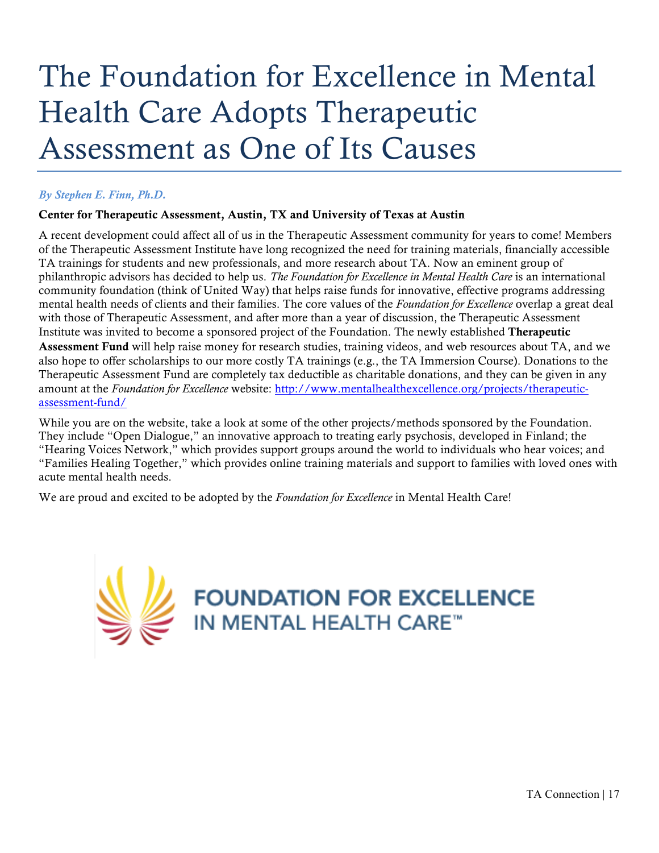# The Foundation for Excellence in Mental Health Care Adopts Therapeutic Assessment as One of Its Causes

#### *By Stephen E. Finn, Ph.D.*

#### Center for Therapeutic Assessment, Austin, TX and University of Texas at Austin

A recent development could affect all of us in the Therapeutic Assessment community for years to come! Members of the Therapeutic Assessment Institute have long recognized the need for training materials, financially accessible TA trainings for students and new professionals, and more research about TA. Now an eminent group of philanthropic advisors has decided to help us. *The Foundation for Excellence in Mental Health Care* is an international community foundation (think of United Way) that helps raise funds for innovative, effective programs addressing mental health needs of clients and their families. The core values of the *Foundation for Excellence* overlap a great deal with those of Therapeutic Assessment, and after more than a year of discussion, the Therapeutic Assessment Institute was invited to become a sponsored project of the Foundation. The newly established Therapeutic Assessment Fund will help raise money for research studies, training videos, and web resources about TA, and we also hope to offer scholarships to our more costly TA trainings (e.g., the TA Immersion Course). Donations to the Therapeutic Assessment Fund are completely tax deductible as charitable donations, and they can be given in any amount at the *Foundation for Excellence* website: http://www.mentalhealthexcellence.org/projects/therapeuticassessment-fund/

While you are on the website, take a look at some of the other projects/methods sponsored by the Foundation. They include "Open Dialogue," an innovative approach to treating early psychosis, developed in Finland; the "Hearing Voices Network," which provides support groups around the world to individuals who hear voices; and "Families Healing Together," which provides online training materials and support to families with loved ones with acute mental health needs.

We are proud and excited to be adopted by the *Foundation for Excellence* in Mental Health Care!

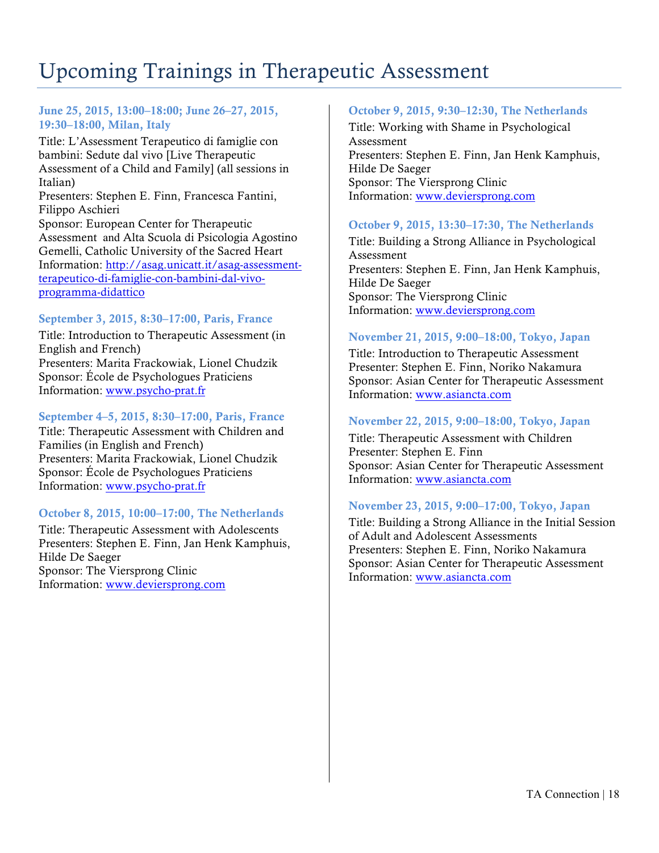### Upcoming Trainings in Therapeutic Assessment

#### June 25, 2015, 13:00–18:00; June 26–27, 2015, 19:30–18:00, Milan, Italy

Title: L'Assessment Terapeutico di famiglie con bambini: Sedute dal vivo [Live Therapeutic Assessment of a Child and Family] (all sessions in Italian) Presenters: Stephen E. Finn, Francesca Fantini, Filippo Aschieri Sponsor: European Center for Therapeutic Assessment and Alta Scuola di Psicologia Agostino Gemelli, Catholic University of the Sacred Heart Information: http://asag.unicatt.it/asag-assessmentterapeutico-di-famiglie-con-bambini-dal-vivoprogramma-didattico

#### September 3, 2015, 8:30–17:00, Paris, France

Title: Introduction to Therapeutic Assessment (in English and French) Presenters: Marita Frackowiak, Lionel Chudzik Sponsor: École de Psychologues Praticiens Information: www.psycho-prat.fr

#### September 4–5, 2015, 8:30–17:00, Paris, France

Title: Therapeutic Assessment with Children and Families (in English and French) Presenters: Marita Frackowiak, Lionel Chudzik Sponsor: École de Psychologues Praticiens Information: www.psycho-prat.fr

#### October 8, 2015, 10:00–17:00, The Netherlands

Title: Therapeutic Assessment with Adolescents Presenters: Stephen E. Finn, Jan Henk Kamphuis, Hilde De Saeger Sponsor: The Viersprong Clinic Information: www.deviersprong.com

#### October 9, 2015, 9:30–12:30, The Netherlands

Title: Working with Shame in Psychological Assessment Presenters: Stephen E. Finn, Jan Henk Kamphuis, Hilde De Saeger Sponsor: The Viersprong Clinic Information: www.deviersprong.com

#### October 9, 2015, 13:30–17:30, The Netherlands

Title: Building a Strong Alliance in Psychological Assessment Presenters: Stephen E. Finn, Jan Henk Kamphuis, Hilde De Saeger Sponsor: The Viersprong Clinic Information: www.deviersprong.com

#### November 21, 2015, 9:00–18:00, Tokyo, Japan

Title: Introduction to Therapeutic Assessment Presenter: Stephen E. Finn, Noriko Nakamura Sponsor: Asian Center for Therapeutic Assessment Information: www.asiancta.com

#### November 22, 2015, 9:00–18:00, Tokyo, Japan

Title: Therapeutic Assessment with Children Presenter: Stephen E. Finn Sponsor: Asian Center for Therapeutic Assessment Information: www.asiancta.com

#### November 23, 2015, 9:00–17:00, Tokyo, Japan

Title: Building a Strong Alliance in the Initial Session of Adult and Adolescent Assessments Presenters: Stephen E. Finn, Noriko Nakamura Sponsor: Asian Center for Therapeutic Assessment Information: www.asiancta.com